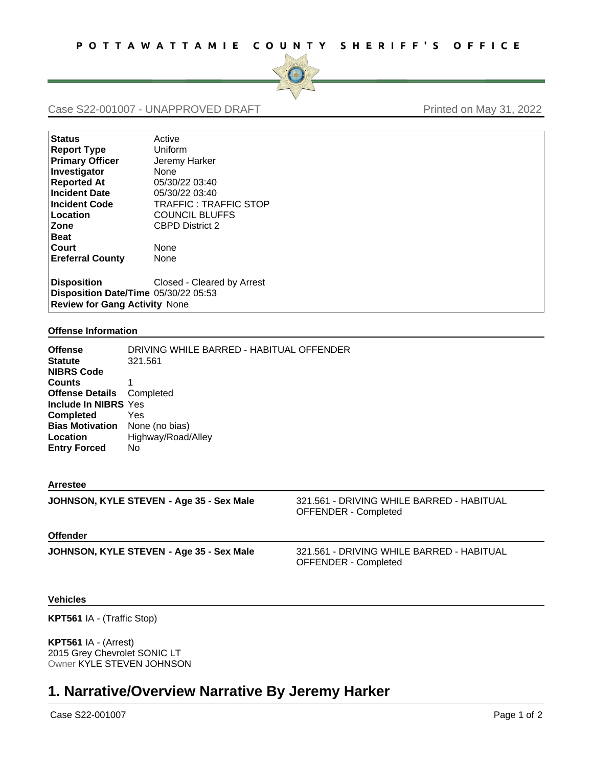

# Case S22-001007 - UNAPPROVED DRAFT Printed on May 31, 2022

| <b>Status</b>                        | Active                       |  |
|--------------------------------------|------------------------------|--|
| <b>Report Type</b>                   | Uniform                      |  |
| <b>Primary Officer</b>               | Jeremy Harker                |  |
| Investigator                         | <b>None</b>                  |  |
| <b>Reported At</b>                   | 05/30/22 03:40               |  |
| <b>Incident Date</b>                 | 05/30/22 03:40               |  |
| <b>Incident Code</b>                 | <b>TRAFFIC: TRAFFIC STOP</b> |  |
| Location                             | <b>COUNCIL BLUFFS</b>        |  |
| Zone                                 | <b>CBPD District 2</b>       |  |
| <b>Beat</b>                          |                              |  |
| Court                                | None                         |  |
| <b>Ereferral County</b>              | None                         |  |
| <b>Disposition</b>                   | Closed - Cleared by Arrest   |  |
| Disposition Date/Time 05/30/22 05:53 |                              |  |
| <b>Review for Gang Activity None</b> |                              |  |

#### **Offense Information**

| Offense<br>Statute<br><b>NIBRS Code</b> | DRIVING WHILE BARRED - HABITUAL OFFENDER<br>321.561 |
|-----------------------------------------|-----------------------------------------------------|
| Counts                                  |                                                     |
| <b>Offense Details</b>                  | Completed                                           |
| <b>Include In NIBRS Yes</b>             |                                                     |
| Completed                               | Yes                                                 |
| <b>Bias Motivation</b>                  | None (no bias)                                      |
| Location                                | Highway/Road/Alley                                  |
| <b>Entry Forced</b>                     | No.                                                 |
|                                         |                                                     |

#### **Arrestee**

| JOHNSON, KYLE STEVEN - Age 35 - Sex Male | 321.561 - DRIVING WHILE BARRED - HABITUAL<br><b>OFFENDER - Completed</b> |
|------------------------------------------|--------------------------------------------------------------------------|
| <b>Offender</b>                          |                                                                          |
| JOHNSON, KYLE STEVEN - Age 35 - Sex Male | 321.561 - DRIVING WHILE BARRED - HABITUAL<br><b>OFFENDER - Completed</b> |

### **Vehicles**

**KPT561** IA - (Traffic Stop)

**KPT561** IA - (Arrest) 2015 Grey Chevrolet SONIC LT Owner KYLE STEVEN JOHNSON

# **1. Narrative/Overview Narrative By Jeremy Harker**